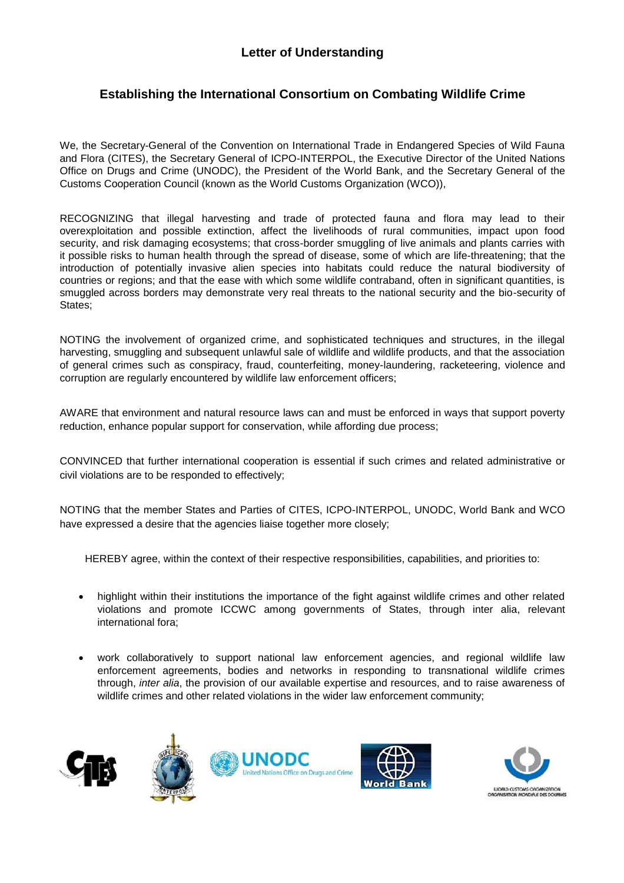## **Letter of Understanding**

## **Establishing the International Consortium on Combating Wildlife Crime**

We, the Secretary-General of the Convention on International Trade in Endangered Species of Wild Fauna and Flora (CITES), the Secretary General of ICPO-INTERPOL, the Executive Director of the United Nations Office on Drugs and Crime (UNODC), the President of the World Bank, and the Secretary General of the Customs Cooperation Council (known as the World Customs Organization (WCO)),

RECOGNIZING that illegal harvesting and trade of protected fauna and flora may lead to their overexploitation and possible extinction, affect the livelihoods of rural communities, impact upon food security, and risk damaging ecosystems; that cross-border smuggling of live animals and plants carries with it possible risks to human health through the spread of disease, some of which are life-threatening; that the introduction of potentially invasive alien species into habitats could reduce the natural biodiversity of countries or regions; and that the ease with which some wildlife contraband, often in significant quantities, is smuggled across borders may demonstrate very real threats to the national security and the bio-security of States;

NOTING the involvement of organized crime, and sophisticated techniques and structures, in the illegal harvesting, smuggling and subsequent unlawful sale of wildlife and wildlife products, and that the association of general crimes such as conspiracy, fraud, counterfeiting, money-laundering, racketeering, violence and corruption are regularly encountered by wildlife law enforcement officers;

AWARE that environment and natural resource laws can and must be enforced in ways that support poverty reduction, enhance popular support for conservation, while affording due process;

CONVINCED that further international cooperation is essential if such crimes and related administrative or civil violations are to be responded to effectively;

NOTING that the member States and Parties of CITES, ICPO-INTERPOL, UNODC, World Bank and WCO have expressed a desire that the agencies liaise together more closely:

HEREBY agree, within the context of their respective responsibilities, capabilities, and priorities to:

- highlight within their institutions the importance of the fight against wildlife crimes and other related violations and promote ICCWC among governments of States, through inter alia, relevant international fora;
- work collaboratively to support national law enforcement agencies, and regional wildlife law enforcement agreements, bodies and networks in responding to transnational wildlife crimes through, *inter alia*, the provision of our available expertise and resources, and to raise awareness of wildlife crimes and other related violations in the wider law enforcement community;